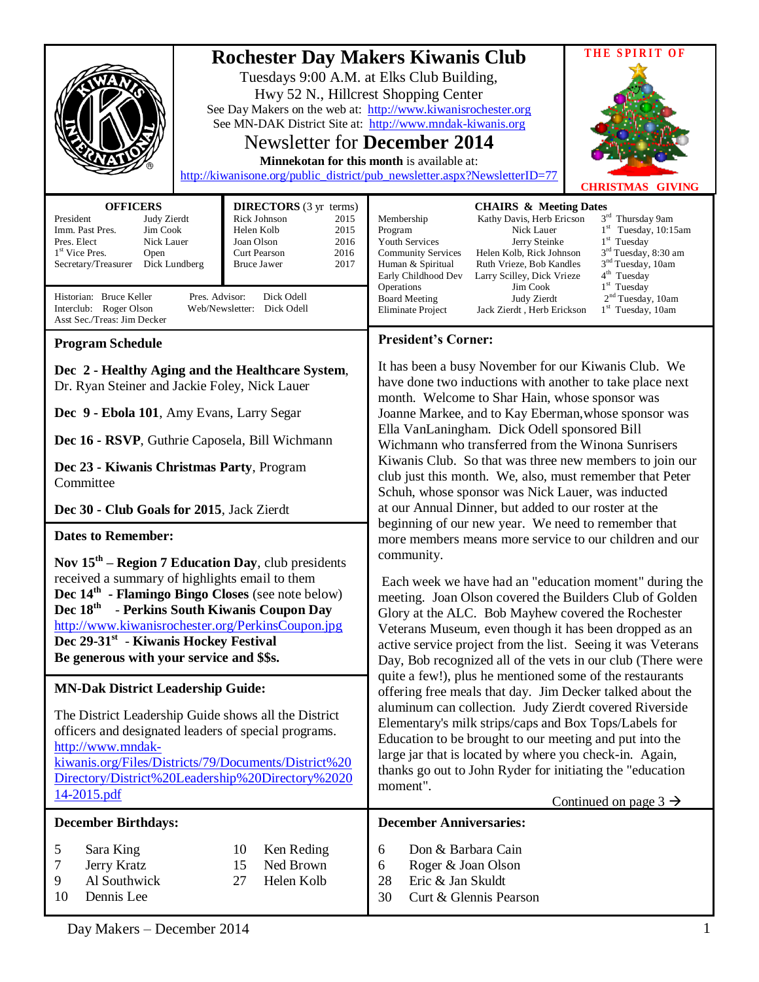| <b>OFFICERS</b>                                                                                                                                                                                                                                                                                                                                                                                                                                                                                                                                                                                                                                                                                                         | THE SPIRIT OF<br><b>Rochester Day Makers Kiwanis Club</b><br>Tuesdays 9:00 A.M. at Elks Club Building,<br>Hwy 52 N., Hillcrest Shopping Center<br>See Day Makers on the web at: http://www.kiwanisrochester.org<br>See MN-DAK District Site at: http://www.mndak-kiwanis.org<br><b>Newsletter for December 2014</b><br>Minnekotan for this month is available at:<br>http://kiwanisone.org/public_district/pub_newsletter.aspx?NewsletterID=77<br><b>CHRISTMAS GIVING</b>                                                                                                                                                                                                                                                                                                                                                                                                                                                                                                                                                                                                                                                                                                                                                                                                                                                                                                                                                                                                                                                                                                                                                                                                   |  |
|-------------------------------------------------------------------------------------------------------------------------------------------------------------------------------------------------------------------------------------------------------------------------------------------------------------------------------------------------------------------------------------------------------------------------------------------------------------------------------------------------------------------------------------------------------------------------------------------------------------------------------------------------------------------------------------------------------------------------|-----------------------------------------------------------------------------------------------------------------------------------------------------------------------------------------------------------------------------------------------------------------------------------------------------------------------------------------------------------------------------------------------------------------------------------------------------------------------------------------------------------------------------------------------------------------------------------------------------------------------------------------------------------------------------------------------------------------------------------------------------------------------------------------------------------------------------------------------------------------------------------------------------------------------------------------------------------------------------------------------------------------------------------------------------------------------------------------------------------------------------------------------------------------------------------------------------------------------------------------------------------------------------------------------------------------------------------------------------------------------------------------------------------------------------------------------------------------------------------------------------------------------------------------------------------------------------------------------------------------------------------------------------------------------------|--|
| <b>DIRECTORS</b> (3 yr terms)<br>President<br>Rick Johnson<br>2015<br>Judy Zierdt<br>Imm. Past Pres.<br>Jim Cook<br>Helen Kolb<br>2015<br>2016<br>Pres. Elect<br>Nick Lauer<br>Joan Olson<br>1 <sup>st</sup> Vice Pres.<br>Curt Pearson<br>2016<br>Open<br><b>Bruce Jawer</b><br>2017<br>Secretary/Treasurer<br>Dick Lundberg<br>Pres. Advisor:<br>Historian: Bruce Keller<br>Dick Odell<br>Interclub: Roger Olson<br>Web/Newsletter: Dick Odell<br>Asst Sec./Treas: Jim Decker                                                                                                                                                                                                                                         | <b>CHAIRS &amp; Meeting Dates</b><br>3rd Thursday 9am<br>Membership<br>Kathy Davis, Herb Ericson<br>$1st$ Tuesday, 10:15am<br>Program<br>Nick Lauer<br>$1st$ Tuesday<br><b>Youth Services</b><br>Jerry Steinke<br>3 <sup>rd</sup> Tuesday, 8:30 am<br><b>Community Services</b><br>Helen Kolb, Rick Johnson<br>3 <sup>nd</sup> Tuesday, 10am<br>Ruth Vrieze, Bob Kandles<br>Human & Spiritual<br>4 <sup>th</sup> Tuesday<br>Early Childhood Dev<br>Larry Scilley, Dick Vrieze<br>$1st$ Tuesday<br>Operations<br>Jim Cook<br>2 <sup>nd</sup> Tuesday, 10am<br><b>Board Meeting</b><br>Judy Zierdt<br>1 <sup>st</sup> Tuesday, 10am<br>Eliminate Project<br>Jack Zierdt, Herb Erickson                                                                                                                                                                                                                                                                                                                                                                                                                                                                                                                                                                                                                                                                                                                                                                                                                                                                                                                                                                                        |  |
| <b>Program Schedule</b>                                                                                                                                                                                                                                                                                                                                                                                                                                                                                                                                                                                                                                                                                                 | <b>President's Corner:</b>                                                                                                                                                                                                                                                                                                                                                                                                                                                                                                                                                                                                                                                                                                                                                                                                                                                                                                                                                                                                                                                                                                                                                                                                                                                                                                                                                                                                                                                                                                                                                                                                                                                  |  |
| Dec 2 - Healthy Aging and the Healthcare System,<br>Dr. Ryan Steiner and Jackie Foley, Nick Lauer<br>Dec 9 - Ebola 101, Amy Evans, Larry Segar<br>Dec 16 - RSVP, Guthrie Caposela, Bill Wichmann<br>Dec 23 - Kiwanis Christmas Party, Program<br>Committee<br>Dec 30 - Club Goals for 2015, Jack Zierdt<br><b>Dates to Remember:</b><br>Nov $15th$ – Region 7 Education Day, club presidents<br>received a summary of highlights email to them<br>Dec 14 <sup>th</sup> - Flamingo Bingo Closes (see note below)<br>Dec $18^{\text{th}}$<br>- Perkins South Kiwanis Coupon Day<br>http://www.kiwanisrochester.org/PerkinsCoupon.jpg<br>Dec 29-31st - Kiwanis Hockey Festival<br>Be generous with your service and \$\$s. | It has been a busy November for our Kiwanis Club. We<br>have done two inductions with another to take place next<br>month. Welcome to Shar Hain, whose sponsor was<br>Joanne Markee, and to Kay Eberman, whose sponsor was<br>Ella VanLaningham. Dick Odell sponsored Bill<br>Wichmann who transferred from the Winona Sunrisers<br>Kiwanis Club. So that was three new members to join our<br>club just this month. We, also, must remember that Peter<br>Schuh, whose sponsor was Nick Lauer, was inducted<br>at our Annual Dinner, but added to our roster at the<br>beginning of our new year. We need to remember that<br>more members means more service to our children and our<br>community.<br>Each week we have had an "education moment" during the<br>meeting. Joan Olson covered the Builders Club of Golden<br>Glory at the ALC. Bob Mayhew covered the Rochester<br>Veterans Museum, even though it has been dropped as an<br>active service project from the list. Seeing it was Veterans<br>Day, Bob recognized all of the vets in our club (There were<br>quite a few!), plus he mentioned some of the restaurants<br>offering free meals that day. Jim Decker talked about the<br>aluminum can collection. Judy Zierdt covered Riverside<br>Elementary's milk strips/caps and Box Tops/Labels for<br>Education to be brought to our meeting and put into the<br>large jar that is located by where you check-in. Again,<br>thanks go out to John Ryder for initiating the "education<br>moment".<br>Continued on page $3 \rightarrow$<br><b>December Anniversaries:</b><br>Don & Barbara Cain<br>6<br>Roger & Joan Olson<br>6<br>Eric & Jan Skuldt<br>28 |  |
| <b>MN-Dak District Leadership Guide:</b><br>The District Leadership Guide shows all the District<br>officers and designated leaders of special programs.<br>http://www.mndak-<br>kiwanis.org/Files/Districts/79/Documents/District%20<br>Directory/District%20Leadership%20Directory%2020<br>14-2015.pdf<br><b>December Birthdays:</b><br>5<br>Sara King<br>Ken Reding<br>10<br>Ned Brown<br>Jerry Kratz<br>15<br>7<br>Al Southwick<br>9<br>27<br>Helen Kolb                                                                                                                                                                                                                                                            |                                                                                                                                                                                                                                                                                                                                                                                                                                                                                                                                                                                                                                                                                                                                                                                                                                                                                                                                                                                                                                                                                                                                                                                                                                                                                                                                                                                                                                                                                                                                                                                                                                                                             |  |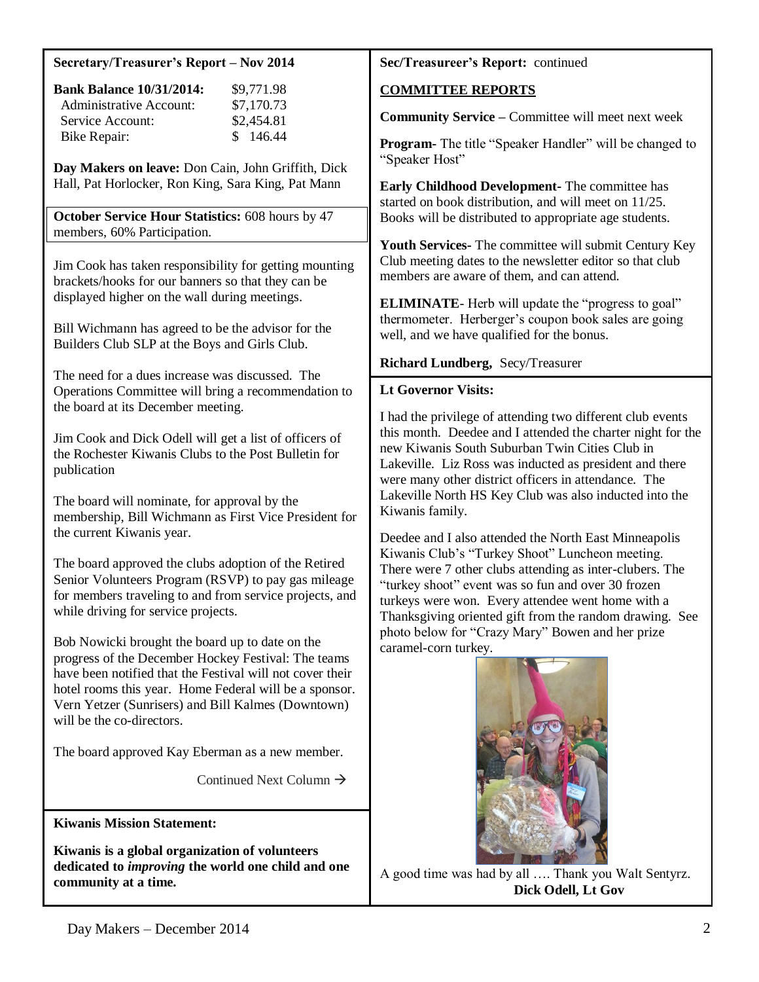#### **Secretary/Treasurer's Report – Nov 2014**

| <b>Bank Balance 10/31/2014:</b> | \$9,771.98 |
|---------------------------------|------------|
| Administrative Account:         | \$7,170.73 |
| Service Account:                | \$2,454.81 |
| Bike Repair:                    | \$146.44   |

**Day Makers on leave:** Don Cain, John Griffith, Dick Hall, Pat Horlocker, Ron King, Sara King, Pat Mann

**October Service Hour Statistics:** 608 hours by 47 members, 60% Participation.

Jim Cook has taken responsibility for getting mounting brackets/hooks for our banners so that they can be displayed higher on the wall during meetings.

Bill Wichmann has agreed to be the advisor for the Builders Club SLP at the Boys and Girls Club.

The need for a dues increase was discussed. The Operations Committee will bring a recommendation to the board at its December meeting.

Jim Cook and Dick Odell will get a list of officers of the Rochester Kiwanis Clubs to the Post Bulletin for publication

The board will nominate, for approval by the membership, Bill Wichmann as First Vice President for the current Kiwanis year.

The board approved the clubs adoption of the Retired Senior Volunteers Program (RSVP) to pay gas mileage for members traveling to and from service projects, and while driving for service projects.

Bob Nowicki brought the board up to date on the progress of the December Hockey Festival: The teams have been notified that the Festival will not cover their hotel rooms this year. Home Federal will be a sponsor. Vern Yetzer (Sunrisers) and Bill Kalmes (Downtown) will be the co-directors.

The board approved Kay Eberman as a new member.

Continued Next Column  $\rightarrow$ 

**Kiwanis Mission Statement:**

**Kiwanis is a global organization of volunteers dedicated to** *improving* **the world one child and one community at a time.**

## **Sec/Treasureer's Report:** continued

# **COMMITTEE REPORTS**

**Community Service –** Committee will meet next week

**Program-** The title "Speaker Handler" will be changed to "Speaker Host"

**Early Childhood Development-** The committee has started on book distribution, and will meet on 11/25. Books will be distributed to appropriate age students.

**Youth Services-** The committee will submit Century Key Club meeting dates to the newsletter editor so that club members are aware of them, and can attend.

**ELIMINATE**- Herb will update the "progress to goal" thermometer. Herberger's coupon book sales are going well, and we have qualified for the bonus.

### **Richard Lundberg,** Secy/Treasurer

### **Lt Governor Visits:**

I had the privilege of attending two different club events this month. Deedee and I attended the charter night for the new Kiwanis South Suburban Twin Cities Club in Lakeville. Liz Ross was inducted as president and there were many other district officers in attendance. The Lakeville North HS Key Club was also inducted into the Kiwanis family.

Deedee and I also attended the North East Minneapolis Kiwanis Club's "Turkey Shoot" Luncheon meeting. There were 7 other clubs attending as inter-clubers. The "turkey shoot" event was so fun and over 30 frozen turkeys were won. Every attendee went home with a Thanksgiving oriented gift from the random drawing. See photo below for "Crazy Mary" Bowen and her prize caramel-corn turkey.



A good time was had by all …. Thank you Walt Sentyrz.  **Dick Odell, Lt Gov**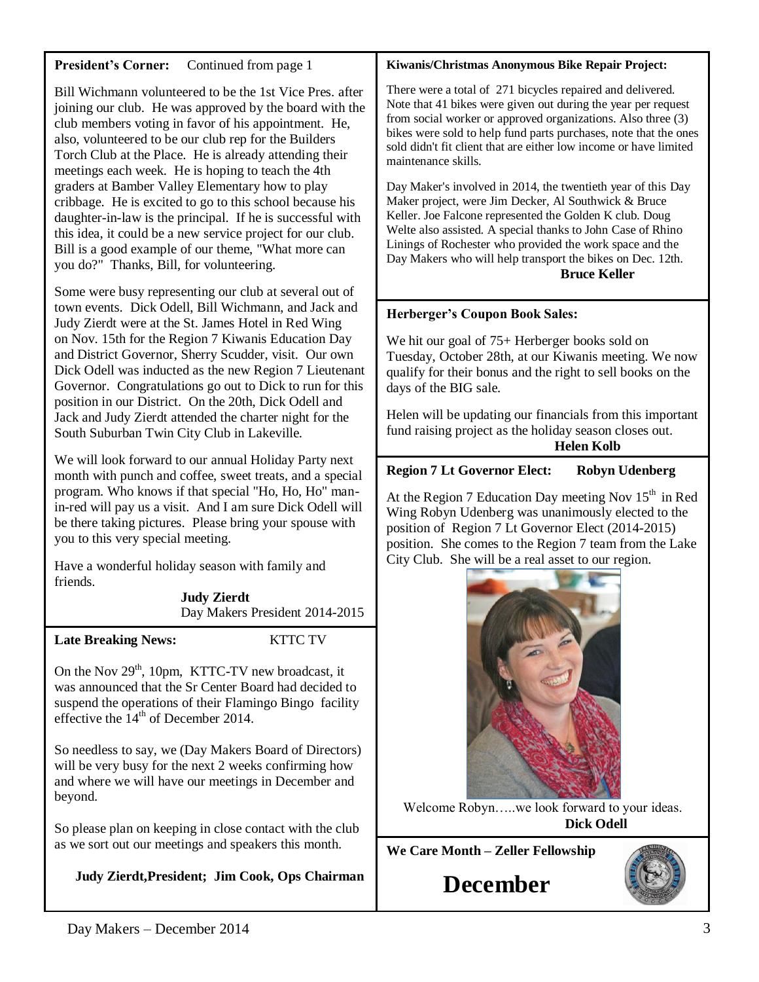| <b>President's Corner:</b><br>Continued from page 1                                                                                                                                                                                                                                                                                                                                                                                                                                                                                                                                                                                                                                               | Kiwanis/Christmas Anonymous Bike Repair Project:                                                                                                                                                                                                                                                                                                                                                                                                                                                                                                                                                                                                                                                                                                               |
|---------------------------------------------------------------------------------------------------------------------------------------------------------------------------------------------------------------------------------------------------------------------------------------------------------------------------------------------------------------------------------------------------------------------------------------------------------------------------------------------------------------------------------------------------------------------------------------------------------------------------------------------------------------------------------------------------|----------------------------------------------------------------------------------------------------------------------------------------------------------------------------------------------------------------------------------------------------------------------------------------------------------------------------------------------------------------------------------------------------------------------------------------------------------------------------------------------------------------------------------------------------------------------------------------------------------------------------------------------------------------------------------------------------------------------------------------------------------------|
| Bill Wichmann volunteered to be the 1st Vice Pres. after<br>joining our club. He was approved by the board with the<br>club members voting in favor of his appointment. He,<br>also, volunteered to be our club rep for the Builders<br>Torch Club at the Place. He is already attending their<br>meetings each week. He is hoping to teach the 4th<br>graders at Bamber Valley Elementary how to play<br>cribbage. He is excited to go to this school because his<br>daughter-in-law is the principal. If he is successful with<br>this idea, it could be a new service project for our club.<br>Bill is a good example of our theme, "What more can<br>you do?" Thanks, Bill, for volunteering. | There were a total of 271 bicycles repaired and delivered.<br>Note that 41 bikes were given out during the year per request<br>from social worker or approved organizations. Also three (3)<br>bikes were sold to help fund parts purchases, note that the ones<br>sold didn't fit client that are either low income or have limited<br>maintenance skills.<br>Day Maker's involved in 2014, the twentieth year of this Day<br>Maker project, were Jim Decker, Al Southwick & Bruce<br>Keller. Joe Falcone represented the Golden K club. Doug<br>Welte also assisted. A special thanks to John Case of Rhino<br>Linings of Rochester who provided the work space and the<br>Day Makers who will help transport the bikes on Dec. 12th.<br><b>Bruce Keller</b> |
| Some were busy representing our club at several out of<br>town events. Dick Odell, Bill Wichmann, and Jack and                                                                                                                                                                                                                                                                                                                                                                                                                                                                                                                                                                                    |                                                                                                                                                                                                                                                                                                                                                                                                                                                                                                                                                                                                                                                                                                                                                                |
| Judy Zierdt were at the St. James Hotel in Red Wing                                                                                                                                                                                                                                                                                                                                                                                                                                                                                                                                                                                                                                               | Herberger's Coupon Book Sales:                                                                                                                                                                                                                                                                                                                                                                                                                                                                                                                                                                                                                                                                                                                                 |
| on Nov. 15th for the Region 7 Kiwanis Education Day<br>and District Governor, Sherry Scudder, visit. Our own<br>Dick Odell was inducted as the new Region 7 Lieutenant<br>Governor. Congratulations go out to Dick to run for this<br>position in our District. On the 20th, Dick Odell and                                                                                                                                                                                                                                                                                                                                                                                                       | We hit our goal of 75+ Herberger books sold on<br>Tuesday, October 28th, at our Kiwanis meeting. We now<br>qualify for their bonus and the right to sell books on the<br>days of the BIG sale.                                                                                                                                                                                                                                                                                                                                                                                                                                                                                                                                                                 |
| Jack and Judy Zierdt attended the charter night for the<br>South Suburban Twin City Club in Lakeville.                                                                                                                                                                                                                                                                                                                                                                                                                                                                                                                                                                                            | Helen will be updating our financials from this important<br>fund raising project as the holiday season closes out.<br><b>Helen Kolb</b>                                                                                                                                                                                                                                                                                                                                                                                                                                                                                                                                                                                                                       |
| We will look forward to our annual Holiday Party next                                                                                                                                                                                                                                                                                                                                                                                                                                                                                                                                                                                                                                             | <b>Region 7 Lt Governor Elect:</b><br><b>Robyn Udenberg</b>                                                                                                                                                                                                                                                                                                                                                                                                                                                                                                                                                                                                                                                                                                    |
| month with punch and coffee, sweet treats, and a special<br>program. Who knows if that special "Ho, Ho, Ho" man-<br>in-red will pay us a visit. And I am sure Dick Odell will<br>be there taking pictures. Please bring your spouse with<br>you to this very special meeting.                                                                                                                                                                                                                                                                                                                                                                                                                     | At the Region 7 Education Day meeting Nov 15 <sup>th</sup> in Red<br>Wing Robyn Udenberg was unanimously elected to the<br>position of Region 7 Lt Governor Elect (2014-2015)<br>position. She comes to the Region 7 team from the Lake                                                                                                                                                                                                                                                                                                                                                                                                                                                                                                                        |
| Have a wonderful holiday season with family and                                                                                                                                                                                                                                                                                                                                                                                                                                                                                                                                                                                                                                                   | City Club. She will be a real asset to our region.                                                                                                                                                                                                                                                                                                                                                                                                                                                                                                                                                                                                                                                                                                             |
| friends.<br><b>Judy Zierdt</b>                                                                                                                                                                                                                                                                                                                                                                                                                                                                                                                                                                                                                                                                    |                                                                                                                                                                                                                                                                                                                                                                                                                                                                                                                                                                                                                                                                                                                                                                |
| Day Makers President 2014-2015                                                                                                                                                                                                                                                                                                                                                                                                                                                                                                                                                                                                                                                                    |                                                                                                                                                                                                                                                                                                                                                                                                                                                                                                                                                                                                                                                                                                                                                                |
| <b>KTTC TV</b><br><b>Late Breaking News:</b>                                                                                                                                                                                                                                                                                                                                                                                                                                                                                                                                                                                                                                                      |                                                                                                                                                                                                                                                                                                                                                                                                                                                                                                                                                                                                                                                                                                                                                                |
| On the Nov $29th$ , 10pm, KTTC-TV new broadcast, it<br>was announced that the Sr Center Board had decided to<br>suspend the operations of their Flamingo Bingo facility<br>effective the $14th$ of December 2014.                                                                                                                                                                                                                                                                                                                                                                                                                                                                                 |                                                                                                                                                                                                                                                                                                                                                                                                                                                                                                                                                                                                                                                                                                                                                                |
| So needless to say, we (Day Makers Board of Directors)<br>will be very busy for the next 2 weeks confirming how<br>and where we will have our meetings in December and<br>beyond.                                                                                                                                                                                                                                                                                                                                                                                                                                                                                                                 | Welcome Robynwe look forward to your ideas.                                                                                                                                                                                                                                                                                                                                                                                                                                                                                                                                                                                                                                                                                                                    |
| So please plan on keeping in close contact with the club                                                                                                                                                                                                                                                                                                                                                                                                                                                                                                                                                                                                                                          | <b>Dick Odell</b>                                                                                                                                                                                                                                                                                                                                                                                                                                                                                                                                                                                                                                                                                                                                              |
| as we sort out our meetings and speakers this month.                                                                                                                                                                                                                                                                                                                                                                                                                                                                                                                                                                                                                                              | We Care Month - Zeller Fellowship                                                                                                                                                                                                                                                                                                                                                                                                                                                                                                                                                                                                                                                                                                                              |
| Judy Zierdt, President; Jim Cook, Ops Chairman                                                                                                                                                                                                                                                                                                                                                                                                                                                                                                                                                                                                                                                    | <b>December</b>                                                                                                                                                                                                                                                                                                                                                                                                                                                                                                                                                                                                                                                                                                                                                |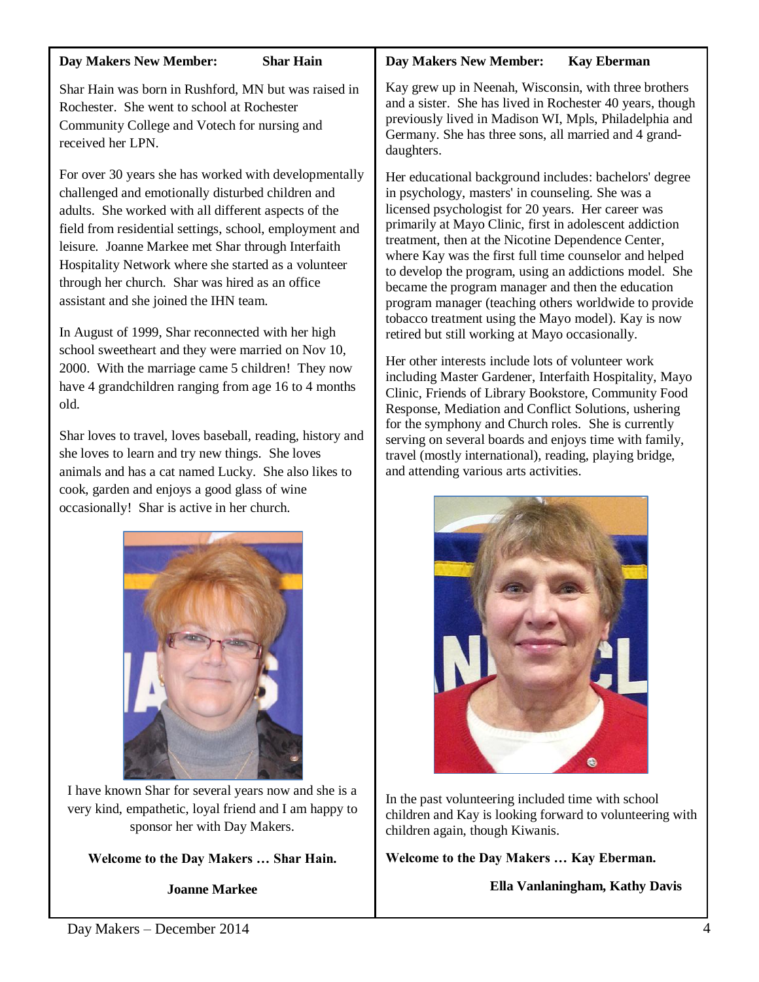#### **Day Makers New Member: Shar Hain**

Shar Hain was born in Rushford, MN but was raised in Rochester. She went to school at Rochester Community College and Votech for nursing and received her LPN.

For over 30 years she has worked with developmentally challenged and emotionally disturbed children and adults. She worked with all different aspects of the field from residential settings, school, employment and leisure. Joanne Markee met Shar through Interfaith Hospitality Network where she started as a volunteer through her church. Shar was hired as an office assistant and she joined the IHN team.

In August of 1999, Shar reconnected with her high school sweetheart and they were married on Nov 10, 2000. With the marriage came 5 children! They now have 4 grandchildren ranging from age 16 to 4 months old.

Shar loves to travel, loves baseball, reading, history and she loves to learn and try new things. She loves animals and has a cat named Lucky. She also likes to cook, garden and enjoys a good glass of wine occasionally! Shar is active in her church.



I have known Shar for several years now and she is a very kind, empathetic, loyal friend and I am happy to sponsor her with Day Makers.

**Welcome to the Day Makers … Shar Hain.**

**Joanne Markee**

# **Day Makers New Member: Kay Eberman**

Kay grew up in Neenah, Wisconsin, with three brothers and a sister. She has lived in Rochester 40 years, though previously lived in Madison WI, Mpls, Philadelphia and Germany. She has three sons, all married and 4 granddaughters.

Her educational background includes: bachelors' degree in psychology, masters' in counseling. She was a licensed psychologist for 20 years. Her career was primarily at Mayo Clinic, first in adolescent addiction treatment, then at the Nicotine Dependence Center, where Kay was the first full time counselor and helped to develop the program, using an addictions model. She became the program manager and then the education program manager (teaching others worldwide to provide tobacco treatment using the Mayo model). Kay is now retired but still working at Mayo occasionally.

Her other interests include lots of volunteer work including Master Gardener, Interfaith Hospitality, Mayo Clinic, Friends of Library Bookstore, Community Food Response, Mediation and Conflict Solutions, ushering for the symphony and Church roles. She is currently serving on several boards and enjoys time with family, travel (mostly international), reading, playing bridge, and attending various arts activities.



In the past volunteering included time with school children and Kay is looking forward to volunteering with children again, though Kiwanis.

**Welcome to the Day Makers … Kay Eberman.**

**Ella Vanlaningham, Kathy Davis**